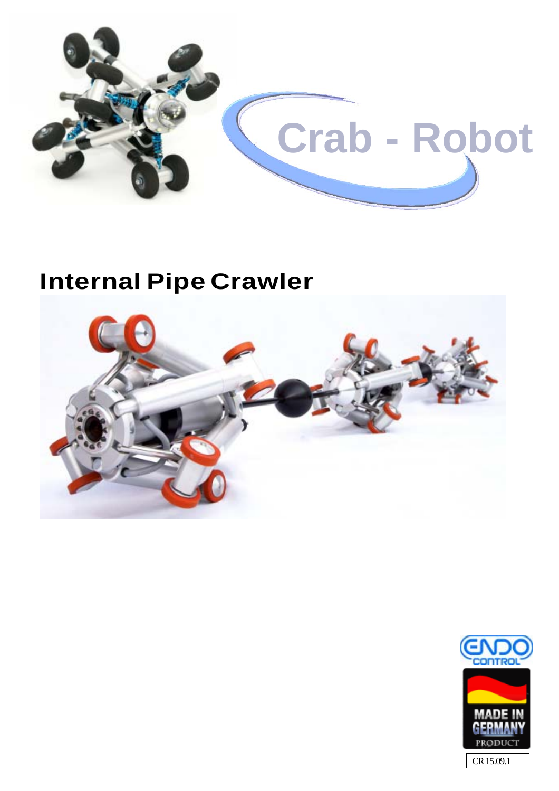

# **Internal Pipe Crawler**



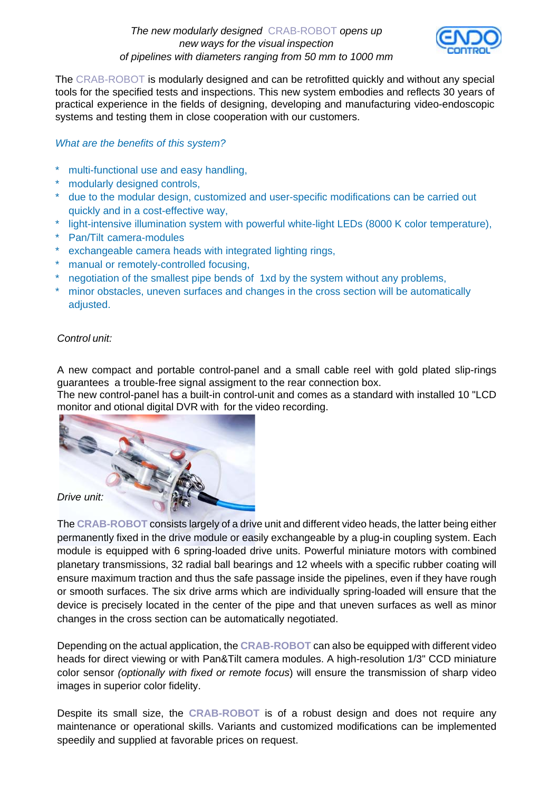*The new modularly designed* CRAB-ROBOT *opens up new ways for the visual inspection of pipelines with diameters ranging from 50 mm to 1000 mm*



The CRAB-ROBOT is modularly designed and can be retrofitted quickly and without any special tools for the specified tests and inspections. This new system embodies and reflects 30 years of practical experience in the fields of designing, developing and manufacturing video-endoscopic systems and testing them in close cooperation with our customers.

### *What are the benefits of this system?*

- \* multi-functional use and easy handling,
- \* modularly designed controls,
- \* due to the modular design, customized and user-specific modifications can be carried out quickly and in a cost-effective way,
- \* light-intensive illumination system with powerful white-light LEDs (8000 K color temperature),
- \* Pan/Tilt camera-modules
- \* exchangeable camera heads with integrated lighting rings,
- \* manual or remotely-controlled focusing,
- \* negotiation of the smallest pipe bends of 1xd by the system without any problems,
- minor obstacles, uneven surfaces and changes in the cross section will be automatically adjusted.

### *Control unit:*

A new compact and portable control-panel and a small cable reel with gold plated slip-rings guarantees a trouble-free signal assigment to the rear connection box.

The new control-panel has a built-in control-unit and comes as a standard with installed 10 "LCD monitor and otional digital DVR with for the video recording.



The **CRAB-ROBOT** consists largely of a drive unit and different video heads, the latter being either permanently fixed in the drive module or easily exchangeable by a plug-in coupling system. Each module is equipped with 6 spring-loaded drive units. Powerful miniature motors with combined planetary transmissions, 32 radial ball bearings and 12 wheels with a specific rubber coating will ensure maximum traction and thus the safe passage inside the pipelines, even if they have rough or smooth surfaces. The six drive arms which are individually spring-loaded will ensure that the device is precisely located in the center of the pipe and that uneven surfaces as well as minor changes in the cross section can be automatically negotiated.

Depending on the actual application, the **CRAB-ROBOT** can also be equipped with different video heads for direct viewing or with Pan&Tilt camera modules. A high-resolution 1/3" CCD miniature color sensor *(optionally with fixed or remote focus*) will ensure the transmission of sharp video images in superior color fidelity.

Despite its small size, the **CRAB-ROBOT** is of a robust design and does not require any maintenance or operational skills. Variants and customized modifications can be implemented speedily and supplied at favorable prices on request.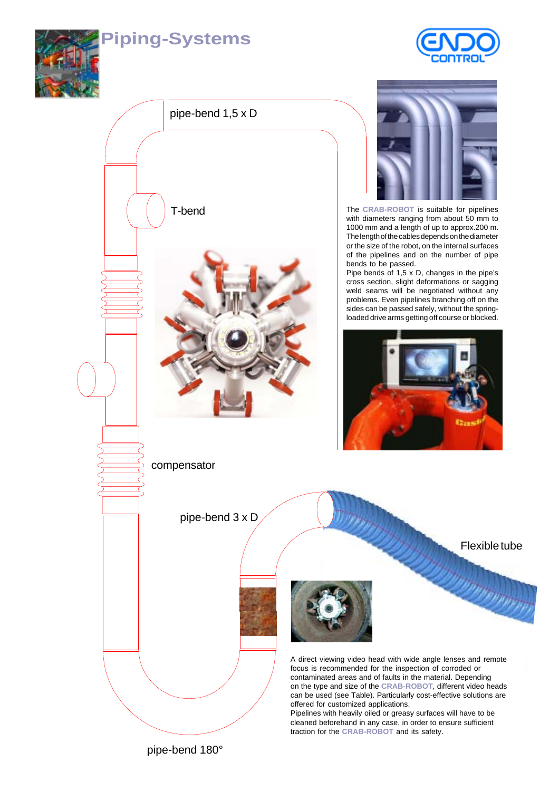### **Piping-Systems**









The **CRAB-ROBOT** is suitable for pipelines with diameters ranging from about 50 mm to 1000 mm and a length of up to approx.200 m. The length of the cables depends on the diameter or the size of the robot, on the internal surfaces of the pipelines and on the number of pipe bends to be passed.

Pipe bends of 1,5 x D, changes in the pipe's cross section, slight deformations or sagging weld seams will be negotiated without any problems. Even pipelines branching off on the sides can be passed safely, without the springloaded drive arms getting off course or blocked.



Flexible tube

nn n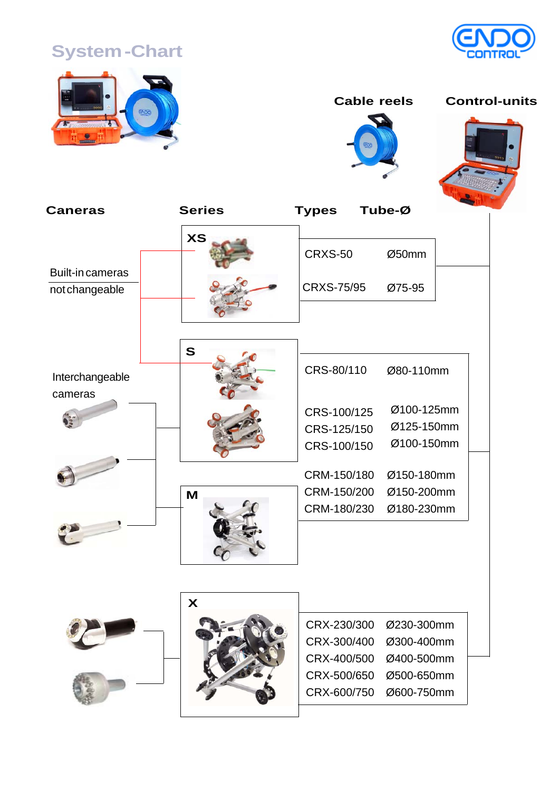## **System -Chart**





 **Cable reels Control-units**







| <b>Caneras</b>             | <b>Series</b>             | Tube-Ø<br><b>Types</b>      |
|----------------------------|---------------------------|-----------------------------|
|                            | <b>XS</b>                 | <b>CRXS-50</b><br>Ø50mm     |
| <b>Built-in cameras</b>    |                           |                             |
| not changeable             |                           | <b>CRXS-75/95</b><br>Ø75-95 |
|                            | $\mathbf{s}$              |                             |
| Interchangeable<br>cameras |                           | CRS-80/110<br>Ø80-110mm     |
|                            |                           | Ø100-125mm<br>CRS-100/125   |
|                            |                           | Ø125-150mm<br>CRS-125/150   |
|                            |                           | Ø100-150mm<br>CRS-100/150   |
|                            |                           | Ø150-180mm<br>CRM-150/180   |
|                            | M                         | CRM-150/200<br>Ø150-200mm   |
|                            |                           | Ø180-230mm<br>CRM-180/230   |
|                            | $\boldsymbol{\mathsf{X}}$ |                             |
|                            |                           | CRX-230/300<br>Ø230-300mm   |
|                            |                           | CRX-300/400<br>Ø300-400mm   |
|                            |                           | CRX-400/500<br>Ø400-500mm   |
|                            |                           | CRX-500/650<br>Ø500-650mm   |
|                            |                           | CRX-600/750<br>Ø600-750mm   |
|                            |                           |                             |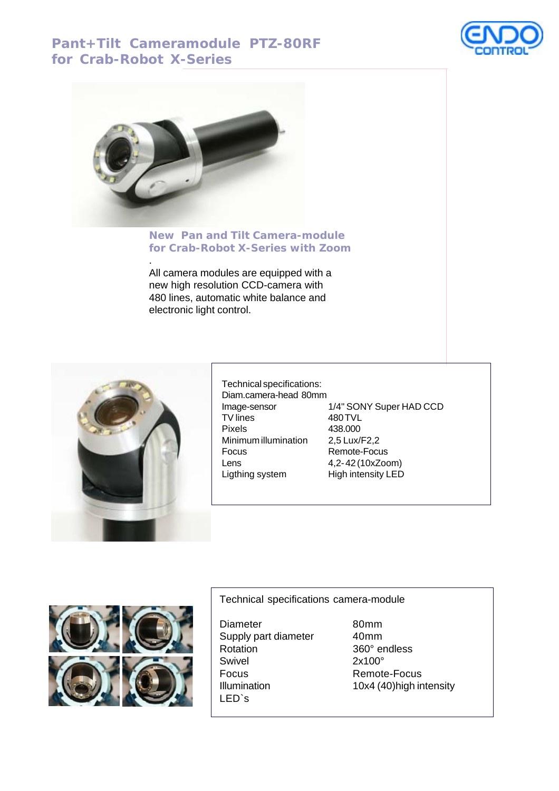### **Pant+Tilt Cameramodule PTZ-80RF for Crab-Robot X-Series**





.

#### **New Pan and Tilt Camera-module for Crab-Robot X-Series with Zoom**

All camera modules are equipped with a new high resolution CCD-camera with 480 lines, automatic white balance and electronic light control.



Technical specifications: Diam.camera-head 80mm Image-sensor 1/4" SONY Super HAD CCD<br>TV lines 480 TVL TV lines 480 TVL<br>Pixels 438.000 Pixels 438.000 Minimum illumination 2,5 Lux/F2,2 Focus Remote-Focus Lens 4,2- 42 (10xZoom) Ligthing system High intensity LED



Technical specifications camera-module

Diameter 80mm Supply part diameter 40mm Rotation 360° endless Swivel 2x100° Focus Remote-Focus LED`s

Illumination 10x4 (40) high intensity